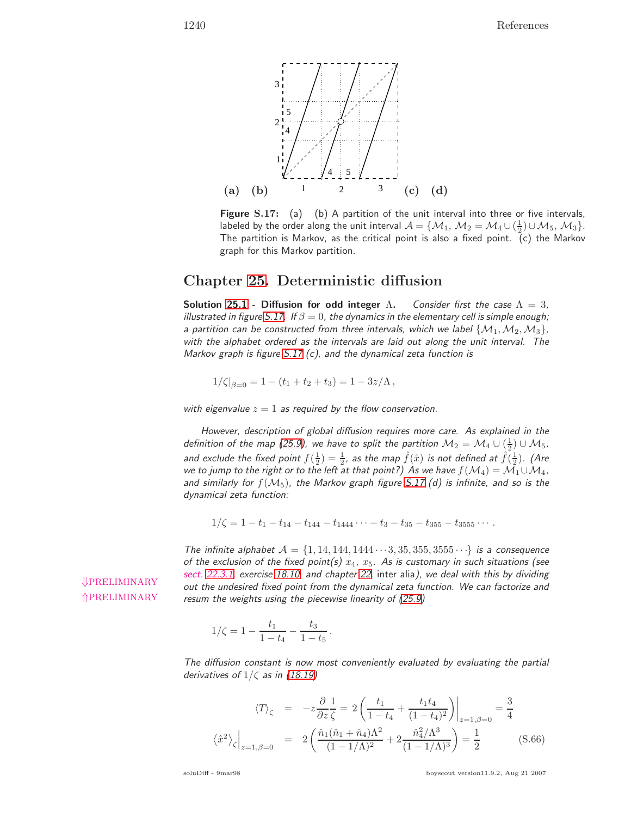

**Figure S.17:** (a) (b) A partition of the unit interval into three or five intervals, labeled by the order along the unit interval  $\mathcal{A} = \{M_1, M_2 = M_4 \cup (\frac{1}{2}) \cup M_5, M_3\}.$ The partition is Markov, as the critical point is also a fixed point. (c) the Markov graph for this Markov partition.

## **Chapter 25. Deterministic diffusion**

**Solution 25.1 - Diffusion for odd integer**  $\Lambda$ . Consider first the case  $\Lambda = 3$ , illustrated in figure S.17. If  $\beta = 0$ , the dynamics in the elementary cell is simple enough; a partition can be constructed from three intervals, which we label  $\{M_1, M_2, M_3\}$ , with the alphabet ordered as the intervals are laid out along the unit interval. The Markov graph is figure S.17 (c), and the dynamical zeta function is

$$
1/\zeta|_{\beta=0} = 1 - (t_1 + t_2 + t_3) = 1 - 3z/\Lambda,
$$

with eigenvalue  $z = 1$  as required by the flow conservation.

However, description of global diffusion requires more care. As explained in the definition of the map (25.9), we have to split the partition  $\mathcal{M}_2 = \mathcal{M}_4 \cup (\frac{1}{2}) \cup \mathcal{M}_5$ , and exclude the fixed point  $f(\frac{1}{2})=\frac{1}{2}$ , as the map  $\hat{f}(\hat{x})$  is not defined at  $\hat{f}(\frac{1}{2})$ . (Are we to jump to the right or to the left at that point?) As we have  $f(\mathcal{M}_4) = \mathcal{M}_1 \cup \mathcal{M}_4$ , and similarly for  $f(M_5)$ , the Markov graph figure S.17 (d) is infinite, and so is the dynamical zeta function:

$$
1/\zeta = 1 - t_1 - t_{14} - t_{144} - t_{1444} \cdots - t_3 - t_{35} - t_{355} - t_{3555} \cdots
$$

The infinite alphabet  $\mathcal{A} = \{1, 14, 144, 1444 \cdots 3, 35, 355, 3555 \cdots\}$  is a consequence of the exclusion of the fixed point(s)  $x_4$ ,  $x_5$ . As is customary in such situations (see sect. 22.3.1, exercise 18.10, and chapter 22, inter alia), we deal with this by dividing<br> **↓PRELIMINARY** and the underised fixed point from the dynamical acta function, *M*/e can factorize and out the undesired fixed point from the dynamical zeta function. We can factorize and resum the weights using the piecewise linearity of (25.9)

⇑PRELIMINARY

$$
1/\zeta = 1 - \frac{t_1}{1 - t_4} - \frac{t_3}{1 - t_5} \, .
$$

The diffusion constant is now most conveniently evaluated by evaluating the partial derivatives of  $1/\zeta$  as in (18.19)

$$
\langle T \rangle_{\zeta} = -z \frac{\partial}{\partial z} \frac{1}{\zeta} = 2 \left( \frac{t_1}{1 - t_4} + \frac{t_1 t_4}{(1 - t_4)^2} \right) \Big|_{z=1, \beta=0} = \frac{3}{4}
$$
  

$$
\langle \hat{x}^2 \rangle_{\zeta} \Big|_{z=1, \beta=0} = 2 \left( \frac{\hat{n}_1 (\hat{n}_1 + \hat{n}_4) \Lambda^2}{(1 - 1/\Lambda)^2} + 2 \frac{\hat{n}_4^2 / \Lambda^3}{(1 - 1/\Lambda)^3} \right) = \frac{1}{2}
$$
(S.66)